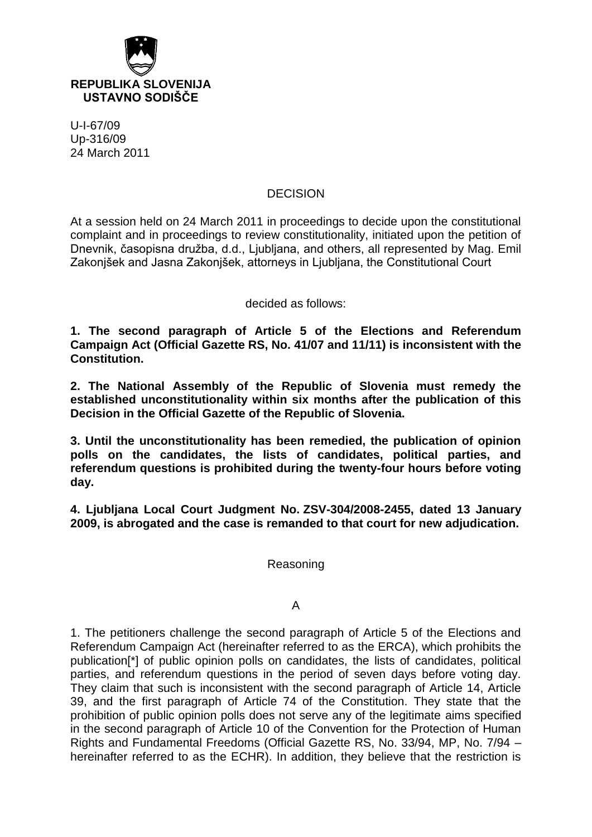

U-I-67/09 Up-316/09 24 March 2011

## DECISION

At a session held on 24 March 2011 in proceedings to decide upon the constitutional complaint and in proceedings to review constitutionality, initiated upon the petition of Dnevnik, časopisna družba, d.d., Ljubljana, and others, all represented by Mag. Emil Zakonjšek and Jasna Zakonjšek, attorneys in Ljubljana, the Constitutional Court

decided as follows:

**1. The second paragraph of Article 5 of the Elections and Referendum Campaign Act (Official Gazette RS, No. 41/07 and 11/11) is inconsistent with the Constitution.**

**2. The National Assembly of the Republic of Slovenia must remedy the established unconstitutionality within six months after the publication of this Decision in the Official Gazette of the Republic of Slovenia.**

**3. Until the unconstitutionality has been remedied, the publication of opinion polls on the candidates, the lists of candidates, political parties, and referendum questions is prohibited during the twenty-four hours before voting day.** 

**4. Ljubljana Local Court Judgment No. ZSV-304/2008-2455, dated 13 January 2009, is abrogated and the case is remanded to that court for new adjudication.**

Reasoning

## A

1. The petitioners challenge the second paragraph of Article 5 of the Elections and Referendum Campaign Act (hereinafter referred to as the ERCA), which prohibits the publication[\*] of public opinion polls on candidates, the lists of candidates, political parties, and referendum questions in the period of seven days before voting day. They claim that such is inconsistent with the second paragraph of Article 14, Article 39, and the first paragraph of Article 74 of the Constitution. They state that the prohibition of public opinion polls does not serve any of the legitimate aims specified in the second paragraph of Article 10 of the Convention for the Protection of Human Rights and Fundamental Freedoms (Official Gazette RS, No. 33/94, MP, No. 7/94 – hereinafter referred to as the ECHR). In addition, they believe that the restriction is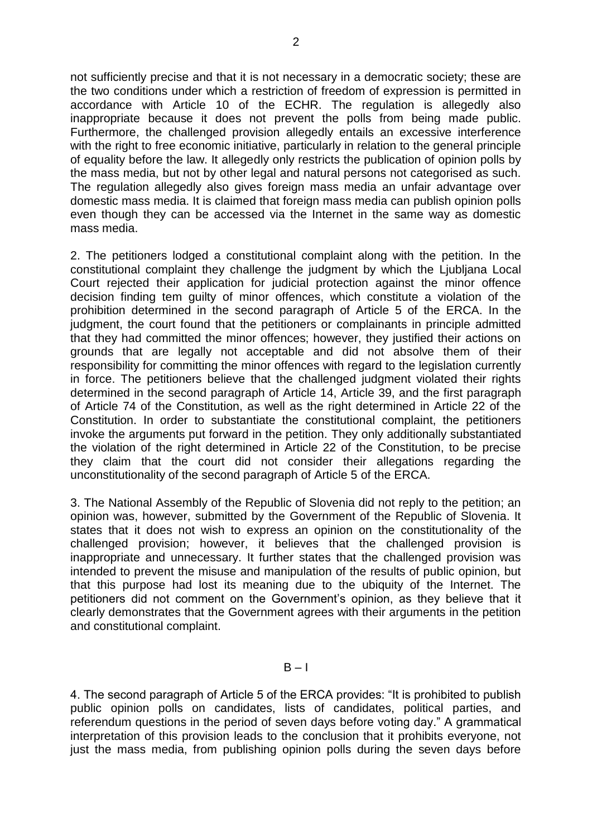not sufficiently precise and that it is not necessary in a democratic society; these are the two conditions under which a restriction of freedom of expression is permitted in accordance with Article 10 of the ECHR. The regulation is allegedly also inappropriate because it does not prevent the polls from being made public. Furthermore, the challenged provision allegedly entails an excessive interference with the right to free economic initiative, particularly in relation to the general principle of equality before the law. It allegedly only restricts the publication of opinion polls by the mass media, but not by other legal and natural persons not categorised as such. The regulation allegedly also gives foreign mass media an unfair advantage over domestic mass media. It is claimed that foreign mass media can publish opinion polls even though they can be accessed via the Internet in the same way as domestic mass media.

2. The petitioners lodged a constitutional complaint along with the petition. In the constitutional complaint they challenge the judgment by which the Ljubljana Local Court rejected their application for judicial protection against the minor offence decision finding tem guilty of minor offences, which constitute a violation of the prohibition determined in the second paragraph of Article 5 of the ERCA. In the judgment, the court found that the petitioners or complainants in principle admitted that they had committed the minor offences; however, they justified their actions on grounds that are legally not acceptable and did not absolve them of their responsibility for committing the minor offences with regard to the legislation currently in force. The petitioners believe that the challenged judgment violated their rights determined in the second paragraph of Article 14, Article 39, and the first paragraph of Article 74 of the Constitution, as well as the right determined in Article 22 of the Constitution. In order to substantiate the constitutional complaint, the petitioners invoke the arguments put forward in the petition. They only additionally substantiated the violation of the right determined in Article 22 of the Constitution, to be precise they claim that the court did not consider their allegations regarding the unconstitutionality of the second paragraph of Article 5 of the ERCA.

3. The National Assembly of the Republic of Slovenia did not reply to the petition; an opinion was, however, submitted by the Government of the Republic of Slovenia. It states that it does not wish to express an opinion on the constitutionality of the challenged provision; however, it believes that the challenged provision is inappropriate and unnecessary. It further states that the challenged provision was intended to prevent the misuse and manipulation of the results of public opinion, but that this purpose had lost its meaning due to the ubiquity of the Internet. The petitioners did not comment on the Government's opinion, as they believe that it clearly demonstrates that the Government agrees with their arguments in the petition and constitutional complaint.

 $B - I$ 

4. The second paragraph of Article 5 of the ERCA provides: "It is prohibited to publish public opinion polls on candidates, lists of candidates, political parties, and referendum questions in the period of seven days before voting day." A grammatical interpretation of this provision leads to the conclusion that it prohibits everyone, not just the mass media, from publishing opinion polls during the seven days before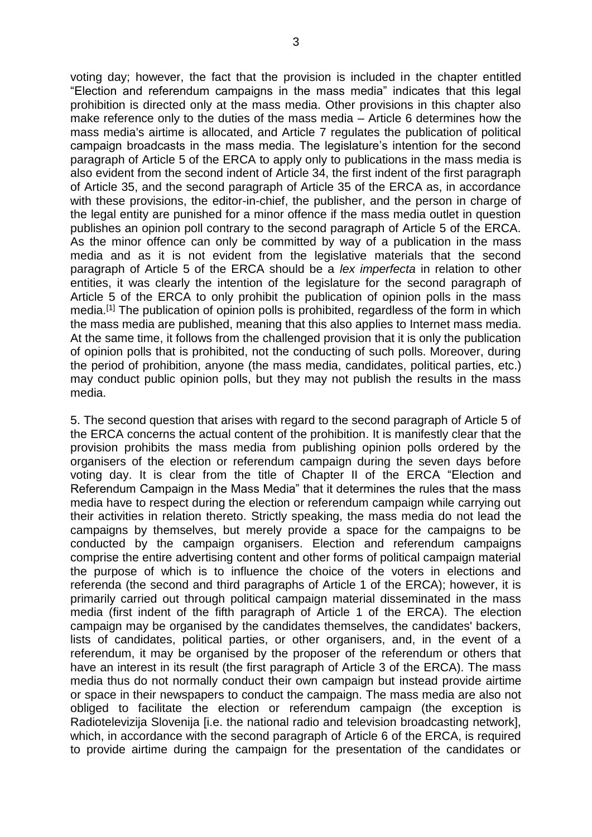voting day; however, the fact that the provision is included in the chapter entitled "Election and referendum campaigns in the mass media" indicates that this legal prohibition is directed only at the mass media. Other provisions in this chapter also make reference only to the duties of the mass media – Article 6 determines how the mass media's airtime is allocated, and Article 7 regulates the publication of political campaign broadcasts in the mass media. The legislature's intention for the second paragraph of Article 5 of the ERCA to apply only to publications in the mass media is also evident from the second indent of Article 34, the first indent of the first paragraph of Article 35, and the second paragraph of Article 35 of the ERCA as, in accordance with these provisions, the editor-in-chief, the publisher, and the person in charge of the legal entity are punished for a minor offence if the mass media outlet in question publishes an opinion poll contrary to the second paragraph of Article 5 of the ERCA. As the minor offence can only be committed by way of a publication in the mass media and as it is not evident from the legislative materials that the second paragraph of Article 5 of the ERCA should be a *lex imperfecta* in relation to other entities, it was clearly the intention of the legislature for the second paragraph of Article 5 of the ERCA to only prohibit the publication of opinion polls in the mass media.[1] The publication of opinion polls is prohibited, regardless of the form in which the mass media are published, meaning that this also applies to Internet mass media. At the same time, it follows from the challenged provision that it is only the publication of opinion polls that is prohibited, not the conducting of such polls. Moreover, during the period of prohibition, anyone (the mass media, candidates, political parties, etc.) may conduct public opinion polls, but they may not publish the results in the mass media.

5. The second question that arises with regard to the second paragraph of Article 5 of the ERCA concerns the actual content of the prohibition. It is manifestly clear that the provision prohibits the mass media from publishing opinion polls ordered by the organisers of the election or referendum campaign during the seven days before voting day. It is clear from the title of Chapter II of the ERCA "Election and Referendum Campaign in the Mass Media" that it determines the rules that the mass media have to respect during the election or referendum campaign while carrying out their activities in relation thereto. Strictly speaking, the mass media do not lead the campaigns by themselves, but merely provide a space for the campaigns to be conducted by the campaign organisers. Election and referendum campaigns comprise the entire advertising content and other forms of political campaign material the purpose of which is to influence the choice of the voters in elections and referenda (the second and third paragraphs of Article 1 of the ERCA); however, it is primarily carried out through political campaign material disseminated in the mass media (first indent of the fifth paragraph of Article 1 of the ERCA). The election campaign may be organised by the candidates themselves, the candidates' backers, lists of candidates, political parties, or other organisers, and, in the event of a referendum, it may be organised by the proposer of the referendum or others that have an interest in its result (the first paragraph of Article 3 of the ERCA). The mass media thus do not normally conduct their own campaign but instead provide airtime or space in their newspapers to conduct the campaign. The mass media are also not obliged to facilitate the election or referendum campaign (the exception is Radiotelevizija Slovenija [i.e. the national radio and television broadcasting network], which, in accordance with the second paragraph of Article 6 of the ERCA, is required to provide airtime during the campaign for the presentation of the candidates or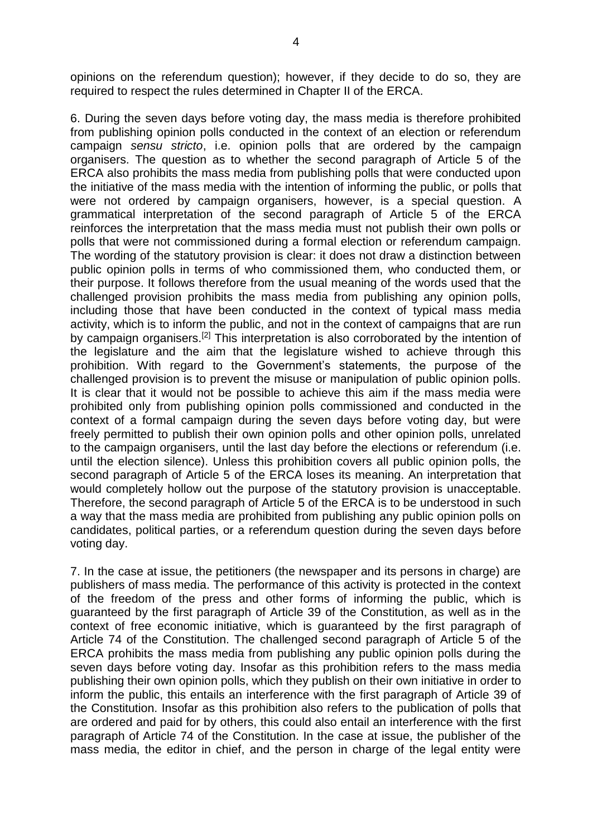opinions on the referendum question); however, if they decide to do so, they are required to respect the rules determined in Chapter II of the ERCA.

6. During the seven days before voting day, the mass media is therefore prohibited from publishing opinion polls conducted in the context of an election or referendum campaign *sensu stricto*, i.e. opinion polls that are ordered by the campaign organisers. The question as to whether the second paragraph of Article 5 of the ERCA also prohibits the mass media from publishing polls that were conducted upon the initiative of the mass media with the intention of informing the public, or polls that were not ordered by campaign organisers, however, is a special question. A grammatical interpretation of the second paragraph of Article 5 of the ERCA reinforces the interpretation that the mass media must not publish their own polls or polls that were not commissioned during a formal election or referendum campaign. The wording of the statutory provision is clear: it does not draw a distinction between public opinion polls in terms of who commissioned them, who conducted them, or their purpose. It follows therefore from the usual meaning of the words used that the challenged provision prohibits the mass media from publishing any opinion polls, including those that have been conducted in the context of typical mass media activity, which is to inform the public, and not in the context of campaigns that are run by campaign organisers.<sup>[2]</sup> This interpretation is also corroborated by the intention of the legislature and the aim that the legislature wished to achieve through this prohibition. With regard to the Government's statements, the purpose of the challenged provision is to prevent the misuse or manipulation of public opinion polls. It is clear that it would not be possible to achieve this aim if the mass media were prohibited only from publishing opinion polls commissioned and conducted in the context of a formal campaign during the seven days before voting day, but were freely permitted to publish their own opinion polls and other opinion polls, unrelated to the campaign organisers, until the last day before the elections or referendum (i.e. until the election silence). Unless this prohibition covers all public opinion polls, the second paragraph of Article 5 of the ERCA loses its meaning. An interpretation that would completely hollow out the purpose of the statutory provision is unacceptable. Therefore, the second paragraph of Article 5 of the ERCA is to be understood in such a way that the mass media are prohibited from publishing any public opinion polls on candidates, political parties, or a referendum question during the seven days before voting day.

7. In the case at issue, the petitioners (the newspaper and its persons in charge) are publishers of mass media. The performance of this activity is protected in the context of the freedom of the press and other forms of informing the public, which is guaranteed by the first paragraph of Article 39 of the Constitution, as well as in the context of free economic initiative, which is guaranteed by the first paragraph of Article 74 of the Constitution. The challenged second paragraph of Article 5 of the ERCA prohibits the mass media from publishing any public opinion polls during the seven days before voting day. Insofar as this prohibition refers to the mass media publishing their own opinion polls, which they publish on their own initiative in order to inform the public, this entails an interference with the first paragraph of Article 39 of the Constitution. Insofar as this prohibition also refers to the publication of polls that are ordered and paid for by others, this could also entail an interference with the first paragraph of Article 74 of the Constitution. In the case at issue, the publisher of the mass media, the editor in chief, and the person in charge of the legal entity were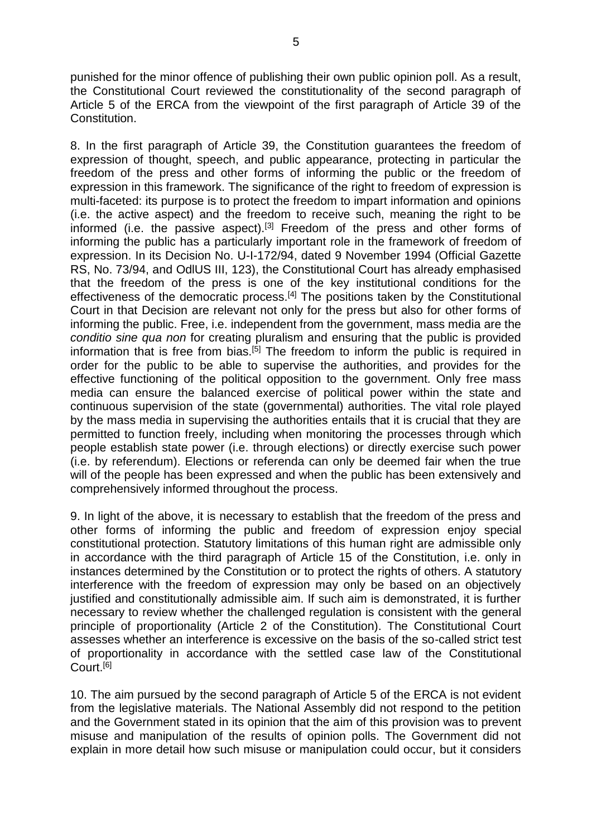punished for the minor offence of publishing their own public opinion poll. As a result, the Constitutional Court reviewed the constitutionality of the second paragraph of Article 5 of the ERCA from the viewpoint of the first paragraph of Article 39 of the Constitution.

8. In the first paragraph of Article 39, the Constitution guarantees the freedom of expression of thought, speech, and public appearance, protecting in particular the freedom of the press and other forms of informing the public or the freedom of expression in this framework. The significance of the right to freedom of expression is multi-faceted: its purpose is to protect the freedom to impart information and opinions (i.e. the active aspect) and the freedom to receive such, meaning the right to be informed (i.e. the passive aspect).<sup>[3]</sup> Freedom of the press and other forms of informing the public has a particularly important role in the framework of freedom of expression. In its Decision No. U-I-172/94, dated 9 November 1994 (Official Gazette RS, No. 73/94, and OdlUS III, 123), the Constitutional Court has already emphasised that the freedom of the press is one of the key institutional conditions for the effectiveness of the democratic process.<sup>[4]</sup> The positions taken by the Constitutional Court in that Decision are relevant not only for the press but also for other forms of informing the public. Free, i.e. independent from the government, mass media are the *conditio sine qua non* for creating pluralism and ensuring that the public is provided information that is free from bias.<sup>[5]</sup> The freedom to inform the public is required in order for the public to be able to supervise the authorities, and provides for the effective functioning of the political opposition to the government. Only free mass media can ensure the balanced exercise of political power within the state and continuous supervision of the state (governmental) authorities. The vital role played by the mass media in supervising the authorities entails that it is crucial that they are permitted to function freely, including when monitoring the processes through which people establish state power (i.e. through elections) or directly exercise such power (i.e. by referendum). Elections or referenda can only be deemed fair when the true will of the people has been expressed and when the public has been extensively and comprehensively informed throughout the process.

9. In light of the above, it is necessary to establish that the freedom of the press and other forms of informing the public and freedom of expression enjoy special constitutional protection. Statutory limitations of this human right are admissible only in accordance with the third paragraph of Article 15 of the Constitution, i.e. only in instances determined by the Constitution or to protect the rights of others. A statutory interference with the freedom of expression may only be based on an objectively justified and constitutionally admissible aim. If such aim is demonstrated, it is further necessary to review whether the challenged regulation is consistent with the general principle of proportionality (Article 2 of the Constitution). The Constitutional Court assesses whether an interference is excessive on the basis of the so-called strict test of proportionality in accordance with the settled case law of the Constitutional Court.[6]

10. The aim pursued by the second paragraph of Article 5 of the ERCA is not evident from the legislative materials. The National Assembly did not respond to the petition and the Government stated in its opinion that the aim of this provision was to prevent misuse and manipulation of the results of opinion polls. The Government did not explain in more detail how such misuse or manipulation could occur, but it considers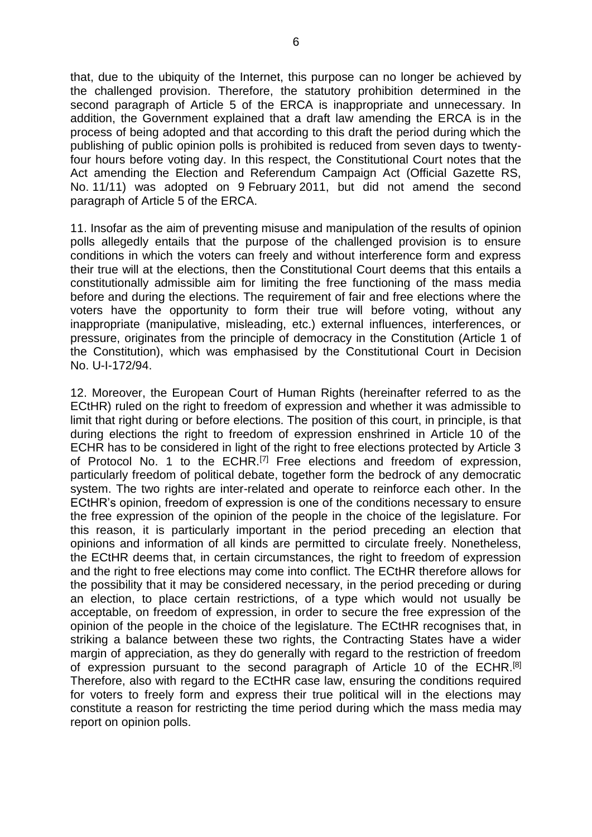that, due to the ubiquity of the Internet, this purpose can no longer be achieved by the challenged provision. Therefore, the statutory prohibition determined in the second paragraph of Article 5 of the ERCA is inappropriate and unnecessary. In addition, the Government explained that a draft law amending the ERCA is in the process of being adopted and that according to this draft the period during which the publishing of public opinion polls is prohibited is reduced from seven days to twentyfour hours before voting day. In this respect, the Constitutional Court notes that the Act amending the Election and Referendum Campaign Act (Official Gazette RS, No. 11/11) was adopted on 9 February 2011, but did not amend the second paragraph of Article 5 of the ERCA.

11. Insofar as the aim of preventing misuse and manipulation of the results of opinion polls allegedly entails that the purpose of the challenged provision is to ensure conditions in which the voters can freely and without interference form and express their true will at the elections, then the Constitutional Court deems that this entails a constitutionally admissible aim for limiting the free functioning of the mass media before and during the elections. The requirement of fair and free elections where the voters have the opportunity to form their true will before voting, without any inappropriate (manipulative, misleading, etc.) external influences, interferences, or pressure, originates from the principle of democracy in the Constitution (Article 1 of the Constitution), which was emphasised by the Constitutional Court in Decision No. U-I-172/94.

12. Moreover, the European Court of Human Rights (hereinafter referred to as the ECtHR) ruled on the right to freedom of expression and whether it was admissible to limit that right during or before elections. The position of this court, in principle, is that during elections the right to freedom of expression enshrined in Article 10 of the ECHR has to be considered in light of the right to free elections protected by Article 3 of Protocol No. 1 to the ECHR.[7] Free elections and freedom of expression, particularly freedom of political debate, together form the bedrock of any democratic system. The two rights are inter-related and operate to reinforce each other. In the ECtHR's opinion, freedom of expression is one of the conditions necessary to ensure the free expression of the opinion of the people in the choice of the legislature. For this reason, it is particularly important in the period preceding an election that opinions and information of all kinds are permitted to circulate freely. Nonetheless, the ECtHR deems that, in certain circumstances, the right to freedom of expression and the right to free elections may come into conflict. The ECtHR therefore allows for the possibility that it may be considered necessary, in the period preceding or during an election, to place certain restrictions, of a type which would not usually be acceptable, on freedom of expression, in order to secure the free expression of the opinion of the people in the choice of the legislature. The ECtHR recognises that, in striking a balance between these two rights, the Contracting States have a wider margin of appreciation, as they do generally with regard to the restriction of freedom of expression pursuant to the second paragraph of Article 10 of the ECHR.<sup>[8]</sup> Therefore, also with regard to the ECtHR case law, ensuring the conditions required for voters to freely form and express their true political will in the elections may constitute a reason for restricting the time period during which the mass media may report on opinion polls.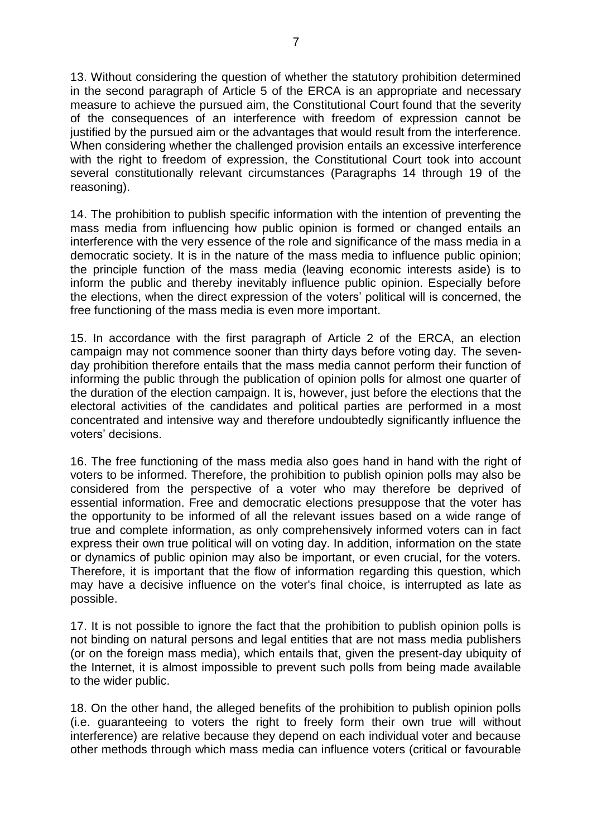13. Without considering the question of whether the statutory prohibition determined in the second paragraph of Article 5 of the ERCA is an appropriate and necessary measure to achieve the pursued aim, the Constitutional Court found that the severity of the consequences of an interference with freedom of expression cannot be justified by the pursued aim or the advantages that would result from the interference. When considering whether the challenged provision entails an excessive interference with the right to freedom of expression, the Constitutional Court took into account several constitutionally relevant circumstances (Paragraphs 14 through 19 of the reasoning).

14. The prohibition to publish specific information with the intention of preventing the mass media from influencing how public opinion is formed or changed entails an interference with the very essence of the role and significance of the mass media in a democratic society. It is in the nature of the mass media to influence public opinion; the principle function of the mass media (leaving economic interests aside) is to inform the public and thereby inevitably influence public opinion. Especially before the elections, when the direct expression of the voters' political will is concerned, the free functioning of the mass media is even more important.

15. In accordance with the first paragraph of Article 2 of the ERCA, an election campaign may not commence sooner than thirty days before voting day. The sevenday prohibition therefore entails that the mass media cannot perform their function of informing the public through the publication of opinion polls for almost one quarter of the duration of the election campaign. It is, however, just before the elections that the electoral activities of the candidates and political parties are performed in a most concentrated and intensive way and therefore undoubtedly significantly influence the voters' decisions.

16. The free functioning of the mass media also goes hand in hand with the right of voters to be informed. Therefore, the prohibition to publish opinion polls may also be considered from the perspective of a voter who may therefore be deprived of essential information. Free and democratic elections presuppose that the voter has the opportunity to be informed of all the relevant issues based on a wide range of true and complete information, as only comprehensively informed voters can in fact express their own true political will on voting day. In addition, information on the state or dynamics of public opinion may also be important, or even crucial, for the voters. Therefore, it is important that the flow of information regarding this question, which may have a decisive influence on the voter's final choice, is interrupted as late as possible.

17. It is not possible to ignore the fact that the prohibition to publish opinion polls is not binding on natural persons and legal entities that are not mass media publishers (or on the foreign mass media), which entails that, given the present-day ubiquity of the Internet, it is almost impossible to prevent such polls from being made available to the wider public.

18. On the other hand, the alleged benefits of the prohibition to publish opinion polls (i.e. guaranteeing to voters the right to freely form their own true will without interference) are relative because they depend on each individual voter and because other methods through which mass media can influence voters (critical or favourable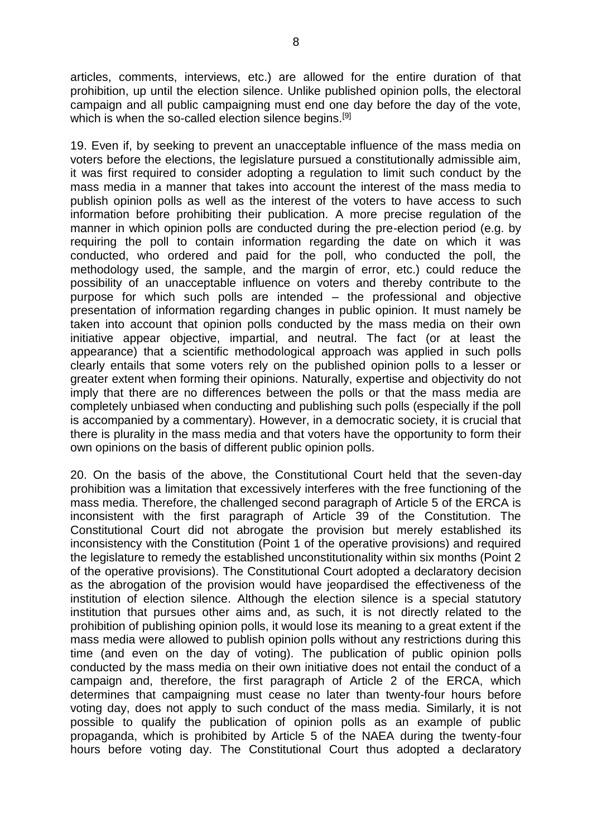articles, comments, interviews, etc.) are allowed for the entire duration of that prohibition, up until the election silence. Unlike published opinion polls, the electoral campaign and all public campaigning must end one day before the day of the vote, which is when the so-called election silence begins.<sup>[9]</sup>

19. Even if, by seeking to prevent an unacceptable influence of the mass media on voters before the elections, the legislature pursued a constitutionally admissible aim, it was first required to consider adopting a regulation to limit such conduct by the mass media in a manner that takes into account the interest of the mass media to publish opinion polls as well as the interest of the voters to have access to such information before prohibiting their publication. A more precise regulation of the manner in which opinion polls are conducted during the pre-election period (e.g. by requiring the poll to contain information regarding the date on which it was conducted, who ordered and paid for the poll, who conducted the poll, the methodology used, the sample, and the margin of error, etc.) could reduce the possibility of an unacceptable influence on voters and thereby contribute to the purpose for which such polls are intended – the professional and objective presentation of information regarding changes in public opinion. It must namely be taken into account that opinion polls conducted by the mass media on their own initiative appear objective, impartial, and neutral. The fact (or at least the appearance) that a scientific methodological approach was applied in such polls clearly entails that some voters rely on the published opinion polls to a lesser or greater extent when forming their opinions. Naturally, expertise and objectivity do not imply that there are no differences between the polls or that the mass media are completely unbiased when conducting and publishing such polls (especially if the poll is accompanied by a commentary). However, in a democratic society, it is crucial that there is plurality in the mass media and that voters have the opportunity to form their own opinions on the basis of different public opinion polls.

20. On the basis of the above, the Constitutional Court held that the seven-day prohibition was a limitation that excessively interferes with the free functioning of the mass media. Therefore, the challenged second paragraph of Article 5 of the ERCA is inconsistent with the first paragraph of Article 39 of the Constitution. The Constitutional Court did not abrogate the provision but merely established its inconsistency with the Constitution (Point 1 of the operative provisions) and required the legislature to remedy the established unconstitutionality within six months (Point 2 of the operative provisions). The Constitutional Court adopted a declaratory decision as the abrogation of the provision would have jeopardised the effectiveness of the institution of election silence. Although the election silence is a special statutory institution that pursues other aims and, as such, it is not directly related to the prohibition of publishing opinion polls, it would lose its meaning to a great extent if the mass media were allowed to publish opinion polls without any restrictions during this time (and even on the day of voting). The publication of public opinion polls conducted by the mass media on their own initiative does not entail the conduct of a campaign and, therefore, the first paragraph of Article 2 of the ERCA, which determines that campaigning must cease no later than twenty-four hours before voting day, does not apply to such conduct of the mass media. Similarly, it is not possible to qualify the publication of opinion polls as an example of public propaganda, which is prohibited by Article 5 of the NAEA during the twenty-four hours before voting day. The Constitutional Court thus adopted a declaratory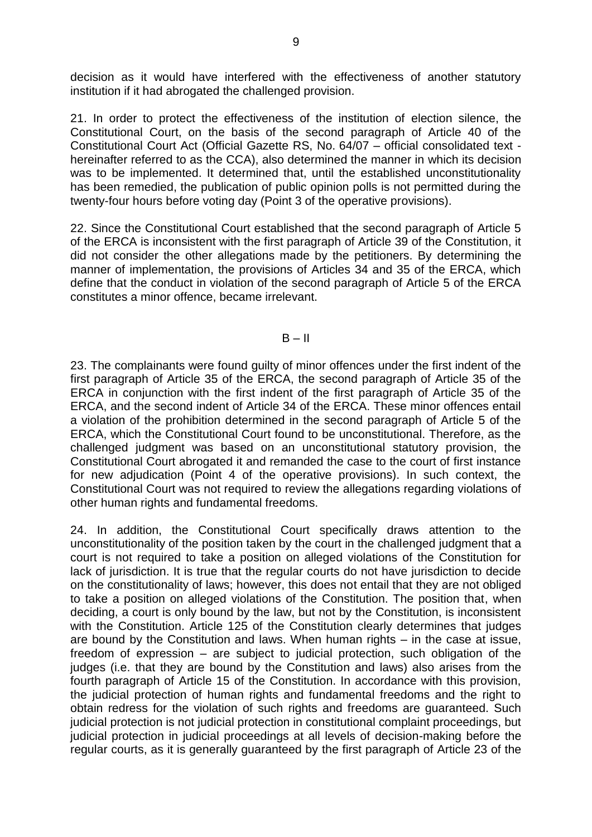decision as it would have interfered with the effectiveness of another statutory institution if it had abrogated the challenged provision.

21. In order to protect the effectiveness of the institution of election silence, the Constitutional Court, on the basis of the second paragraph of Article 40 of the Constitutional Court Act (Official Gazette RS, No. 64/07 – official consolidated text hereinafter referred to as the CCA), also determined the manner in which its decision was to be implemented. It determined that, until the established unconstitutionality has been remedied, the publication of public opinion polls is not permitted during the twenty-four hours before voting day (Point 3 of the operative provisions).

22. Since the Constitutional Court established that the second paragraph of Article 5 of the ERCA is inconsistent with the first paragraph of Article 39 of the Constitution, it did not consider the other allegations made by the petitioners. By determining the manner of implementation, the provisions of Articles 34 and 35 of the ERCA, which define that the conduct in violation of the second paragraph of Article 5 of the ERCA constitutes a minor offence, became irrelevant.

## $B - II$

23. The complainants were found guilty of minor offences under the first indent of the first paragraph of Article 35 of the ERCA, the second paragraph of Article 35 of the ERCA in conjunction with the first indent of the first paragraph of Article 35 of the ERCA, and the second indent of Article 34 of the ERCA. These minor offences entail a violation of the prohibition determined in the second paragraph of Article 5 of the ERCA, which the Constitutional Court found to be unconstitutional. Therefore, as the challenged judgment was based on an unconstitutional statutory provision, the Constitutional Court abrogated it and remanded the case to the court of first instance for new adjudication (Point 4 of the operative provisions). In such context, the Constitutional Court was not required to review the allegations regarding violations of other human rights and fundamental freedoms.

24. In addition, the Constitutional Court specifically draws attention to the unconstitutionality of the position taken by the court in the challenged judgment that a court is not required to take a position on alleged violations of the Constitution for lack of jurisdiction. It is true that the regular courts do not have jurisdiction to decide on the constitutionality of laws; however, this does not entail that they are not obliged to take a position on alleged violations of the Constitution. The position that, when deciding, a court is only bound by the law, but not by the Constitution, is inconsistent with the Constitution. Article 125 of the Constitution clearly determines that judges are bound by the Constitution and laws. When human rights – in the case at issue, freedom of expression – are subject to judicial protection, such obligation of the judges (i.e. that they are bound by the Constitution and laws) also arises from the fourth paragraph of Article 15 of the Constitution. In accordance with this provision, the judicial protection of human rights and fundamental freedoms and the right to obtain redress for the violation of such rights and freedoms are guaranteed. Such judicial protection is not judicial protection in constitutional complaint proceedings, but judicial protection in judicial proceedings at all levels of decision-making before the regular courts, as it is generally guaranteed by the first paragraph of Article 23 of the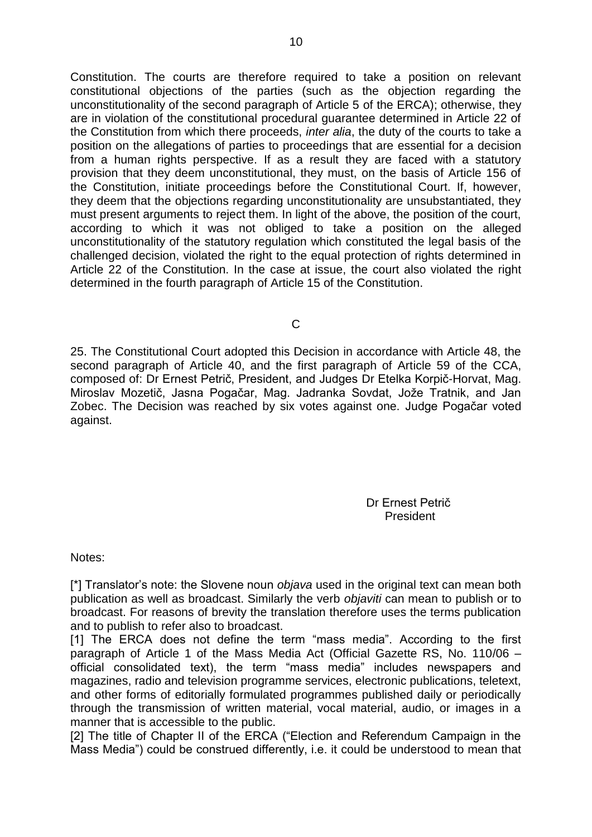Constitution. The courts are therefore required to take a position on relevant constitutional objections of the parties (such as the objection regarding the unconstitutionality of the second paragraph of Article 5 of the ERCA); otherwise, they are in violation of the constitutional procedural guarantee determined in Article 22 of the Constitution from which there proceeds, *inter alia*, the duty of the courts to take a position on the allegations of parties to proceedings that are essential for a decision from a human rights perspective. If as a result they are faced with a statutory provision that they deem unconstitutional, they must, on the basis of Article 156 of the Constitution, initiate proceedings before the Constitutional Court. If, however, they deem that the objections regarding unconstitutionality are unsubstantiated, they must present arguments to reject them. In light of the above, the position of the court, according to which it was not obliged to take a position on the alleged unconstitutionality of the statutory regulation which constituted the legal basis of the challenged decision, violated the right to the equal protection of rights determined in Article 22 of the Constitution. In the case at issue, the court also violated the right determined in the fourth paragraph of Article 15 of the Constitution.

C

25. The Constitutional Court adopted this Decision in accordance with Article 48, the second paragraph of Article 40, and the first paragraph of Article 59 of the CCA, composed of: Dr Ernest Petrič, President, and Judges Dr Etelka Korpič-Horvat, Mag. Miroslav Mozetič, Jasna Pogačar, Mag. Jadranka Sovdat, Jože Tratnik, and Jan Zobec. The Decision was reached by six votes against one. Judge Pogačar voted against.

> Dr Ernest Petrič President

Notes:

[\*] Translator's note: the Slovene noun *objava* used in the original text can mean both publication as well as broadcast. Similarly the verb *objaviti* can mean to publish or to broadcast. For reasons of brevity the translation therefore uses the terms publication and to publish to refer also to broadcast.

[1] The ERCA does not define the term "mass media". According to the first paragraph of Article 1 of the Mass Media Act (Official Gazette RS, No. 110/06 – official consolidated text), the term "mass media" includes newspapers and magazines, radio and television programme services, electronic publications, teletext, and other forms of editorially formulated programmes published daily or periodically through the transmission of written material, vocal material, audio, or images in a manner that is accessible to the public.

[2] The title of Chapter II of the ERCA ("Election and Referendum Campaign in the Mass Media") could be construed differently, i.e. it could be understood to mean that